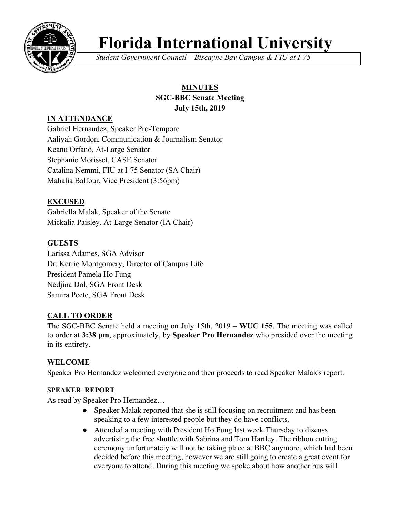

# **Florida International University**

*Student Government Council – Biscayne Bay Campus & FIU at I-75*

# **MINUTES**

## **SGC-BBC Senate Meeting July 15th, 2019**

# **IN ATTENDANCE**

Gabriel Hernandez, Speaker Pro-Tempore Aaliyah Gordon, Communication & Journalism Senator Keanu Orfano, At-Large Senator Stephanie Morisset, CASE Senator Catalina Nemmi, FIU at I-75 Senator (SA Chair) Mahalia Balfour, Vice President (3:56pm)

# **EXCUSED**

Gabriella Malak, Speaker of the Senate Mickalia Paisley, At-Large Senator (IA Chair)

# **GUESTS**

Larissa Adames, SGA Advisor Dr. Kerrie Montgomery, Director of Campus Life President Pamela Ho Fung Nedjina Dol, SGA Front Desk Samira Peete, SGA Front Desk

# **CALL TO ORDER**

The SGC-BBC Senate held a meeting on July 15th, 2019 – **WUC 155**. The meeting was called to order at **3:38 pm**, approximately, by **Speaker Pro Hernandez** who presided over the meeting in its entirety.

# **WELCOME**

Speaker Pro Hernandez welcomed everyone and then proceeds to read Speaker Malak's report.

# **SPEAKER REPORT**

As read by Speaker Pro Hernandez…

- Speaker Malak reported that she is still focusing on recruitment and has been speaking to a few interested people but they do have conflicts.
- Attended a meeting with President Ho Fung last week Thursday to discuss advertising the free shuttle with Sabrina and Tom Hartley. The ribbon cutting ceremony unfortunately will not be taking place at BBC anymore, which had been decided before this meeting, however we are still going to create a great event for everyone to attend. During this meeting we spoke about how another bus will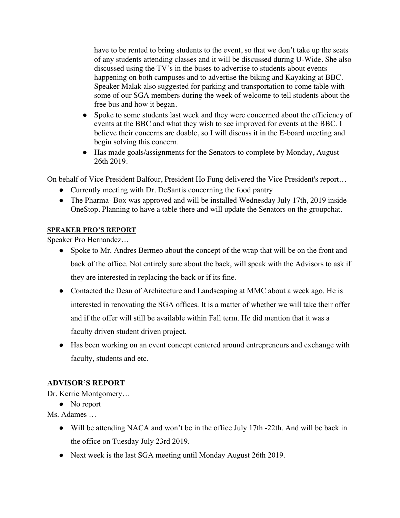have to be rented to bring students to the event, so that we don't take up the seats of any students attending classes and it will be discussed during U-Wide. She also discussed using the TV's in the buses to advertise to students about events happening on both campuses and to advertise the biking and Kayaking at BBC. Speaker Malak also suggested for parking and transportation to come table with some of our SGA members during the week of welcome to tell students about the free bus and how it began.

- Spoke to some students last week and they were concerned about the efficiency of events at the BBC and what they wish to see improved for events at the BBC. I believe their concerns are doable, so I will discuss it in the E-board meeting and begin solving this concern.
- Has made goals/assignments for the Senators to complete by Monday, August 26th 2019.

On behalf of Vice President Balfour, President Ho Fung delivered the Vice President's report…

- Currently meeting with Dr. DeSantis concerning the food pantry
- The Pharma- Box was approved and will be installed Wednesday July 17th, 2019 inside OneStop. Planning to have a table there and will update the Senators on the groupchat.

#### **SPEAKER PRO'S REPORT**

Speaker Pro Hernandez…

- Spoke to Mr. Andres Bermeo about the concept of the wrap that will be on the front and back of the office. Not entirely sure about the back, will speak with the Advisors to ask if they are interested in replacing the back or if its fine.
- Contacted the Dean of Architecture and Landscaping at MMC about a week ago. He is interested in renovating the SGA offices. It is a matter of whether we will take their offer and if the offer will still be available within Fall term. He did mention that it was a faculty driven student driven project.
- Has been working on an event concept centered around entrepreneurs and exchange with faculty, students and etc.

# **ADVISOR'S REPORT**

Dr. Kerrie Montgomery…

• No report

Ms. Adames …

- Will be attending NACA and won't be in the office July 17th -22th. And will be back in the office on Tuesday July 23rd 2019.
- Next week is the last SGA meeting until Monday August 26th 2019.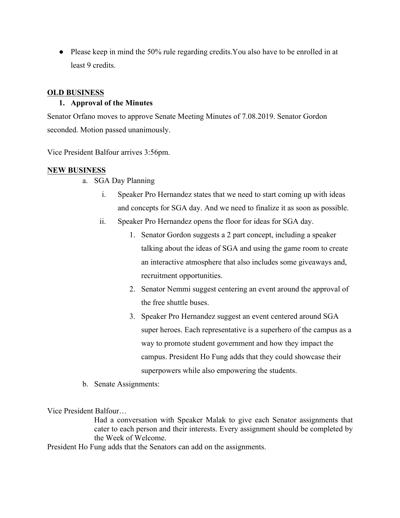• Please keep in mind the 50% rule regarding credits. You also have to be enrolled in at least 9 credits.

#### **OLD BUSINESS**

#### **1. Approval of the Minutes**

Senator Orfano moves to approve Senate Meeting Minutes of 7.08.2019. Senator Gordon seconded. Motion passed unanimously.

Vice President Balfour arrives 3:56pm.

#### **NEW BUSINESS**

- a. SGA Day Planning
	- i. Speaker Pro Hernandez states that we need to start coming up with ideas and concepts for SGA day. And we need to finalize it as soon as possible.
	- ii. Speaker Pro Hernandez opens the floor for ideas for SGA day.
		- 1. Senator Gordon suggests a 2 part concept, including a speaker talking about the ideas of SGA and using the game room to create an interactive atmosphere that also includes some giveaways and, recruitment opportunities.
		- 2. Senator Nemmi suggest centering an event around the approval of the free shuttle buses.
		- 3. Speaker Pro Hernandez suggest an event centered around SGA super heroes. Each representative is a superhero of the campus as a way to promote student government and how they impact the campus. President Ho Fung adds that they could showcase their superpowers while also empowering the students.
- b. Senate Assignments:

Vice President Balfour…

Had a conversation with Speaker Malak to give each Senator assignments that cater to each person and their interests. Every assignment should be completed by the Week of Welcome.

President Ho Fung adds that the Senators can add on the assignments.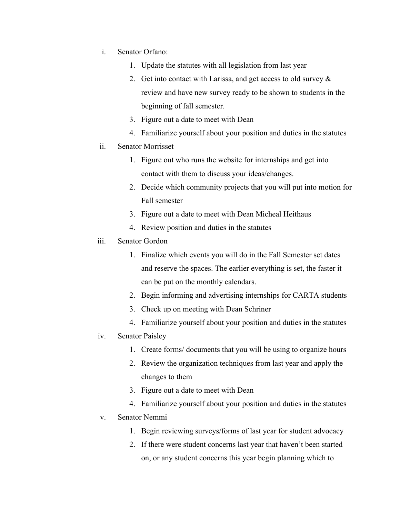- i. Senator Orfano:
	- 1. Update the statutes with all legislation from last year
	- 2. Get into contact with Larissa, and get access to old survey  $\&$ review and have new survey ready to be shown to students in the beginning of fall semester.
	- 3. Figure out a date to meet with Dean
	- 4. Familiarize yourself about your position and duties in the statutes

#### ii. Senator Morrisset

- 1. Figure out who runs the website for internships and get into contact with them to discuss your ideas/changes.
- 2. Decide which community projects that you will put into motion for Fall semester
- 3. Figure out a date to meet with Dean Micheal Heithaus
- 4. Review position and duties in the statutes
- iii. Senator Gordon
	- 1. Finalize which events you will do in the Fall Semester set dates and reserve the spaces. The earlier everything is set, the faster it can be put on the monthly calendars.
	- 2. Begin informing and advertising internships for CARTA students
	- 3. Check up on meeting with Dean Schriner
	- 4. Familiarize yourself about your position and duties in the statutes
- iv. Senator Paisley
	- 1. Create forms/ documents that you will be using to organize hours
	- 2. Review the organization techniques from last year and apply the changes to them
	- 3. Figure out a date to meet with Dean
	- 4. Familiarize yourself about your position and duties in the statutes

#### v. Senator Nemmi

- 1. Begin reviewing surveys/forms of last year for student advocacy
- 2. If there were student concerns last year that haven't been started on, or any student concerns this year begin planning which to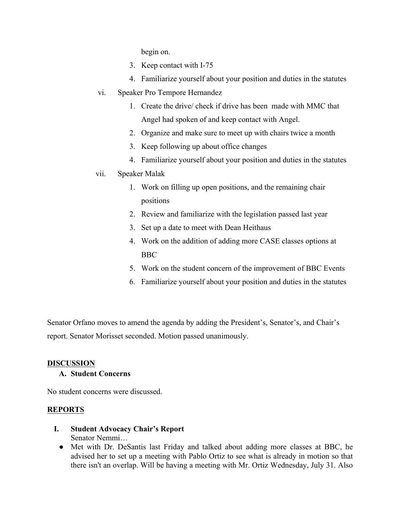begin on.

- 3. Keep contact with I-75
- 4. Familiarize yourself about your position and duties in the statutes
- vi. Speaker Pro Tempore Hernandez
	- 1. Create the drive/ check if drive has been made with MMC that Angel had spoken of and keep contact with Angel.
	- 2. Organize and make sure to meet up with chairs twice a month
	- 3. Keep following up about office changes
	- 4. Familiarize yourself about your position and duties in the statutes

# vii. Speaker Malak

- 1. Work on filling up open positions, and the remaining chair positions
- 2. Review and familiarize with the legislation passed last year
- 3. Set up a date to meet with Dean Heithaus
- 4. Work on the addition of adding more CASE classes options at BBC
- 5. Work on the student concern of the improvement of BBC Events
- 6. Familiarize yourself about your position and duties in the statutes

Senator Orfano moves to amend the agenda by adding the President's, Senator's, and Chair's report. Senator Morisset seconded. Motion passed unanimously.

#### **DISCUSSION**

#### **A. Student Concerns**

No student concerns were discussed.

# **REPORTS**

- **I. Student Advocacy Chair's Report** Senator Nemmi…
	- Met with Dr. DeSantis last Friday and talked about adding more classes at BBC, he advised her to set up a meeting with Pablo Ortiz to see what is already in motion so that there isn't an overlap. Will be having a meeting with Mr. Ortiz Wednesday, July 31. Also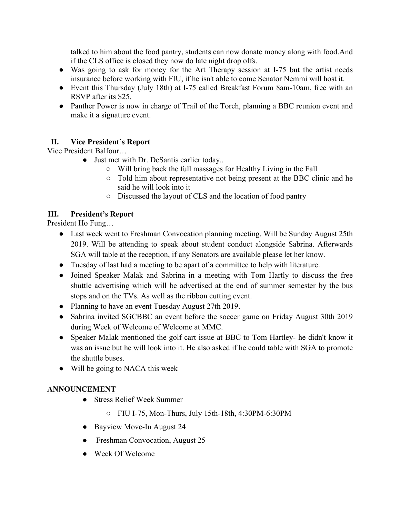talked to him about the food pantry, students can now donate money along with food.And if the CLS office is closed they now do late night drop offs.

- Was going to ask for money for the Art Therapy session at I-75 but the artist needs insurance before working with FIU, if he isn't able to come Senator Nemmi will host it.
- Event this Thursday (July 18th) at I-75 called Breakfast Forum 8am-10am, free with an RSVP after its \$25.
- Panther Power is now in charge of Trail of the Torch, planning a BBC reunion event and make it a signature event.

# **II. Vice President's Report**

Vice President Balfour…

- Just met with Dr. DeSantis earlier today..
	- Will bring back the full massages for Healthy Living in the Fall
	- Told him about representative not being present at the BBC clinic and he said he will look into it
	- Discussed the layout of CLS and the location of food pantry

## **III. President's Report**

President Ho Fung…

- Last week went to Freshman Convocation planning meeting. Will be Sunday August 25th 2019. Will be attending to speak about student conduct alongside Sabrina. Afterwards SGA will table at the reception, if any Senators are available please let her know.
- Tuesday of last had a meeting to be apart of a committee to help with literature.
- Joined Speaker Malak and Sabrina in a meeting with Tom Hartly to discuss the free shuttle advertising which will be advertised at the end of summer semester by the bus stops and on the TVs. As well as the ribbon cutting event.
- Planning to have an event Tuesday August 27th 2019.
- Sabrina invited SGCBBC an event before the soccer game on Friday August 30th 2019 during Week of Welcome of Welcome at MMC.
- Speaker Malak mentioned the golf cart issue at BBC to Tom Hartley- he didn't know it was an issue but he will look into it. He also asked if he could table with SGA to promote the shuttle buses.
- Will be going to NACA this week

# **ANNOUNCEMENT**

- Stress Relief Week Summer
	- FIU I-75, Mon-Thurs, July 15th-18th, 4:30PM-6:30PM
- Bayview Move-In August 24
- Freshman Convocation, August 25
- Week Of Welcome